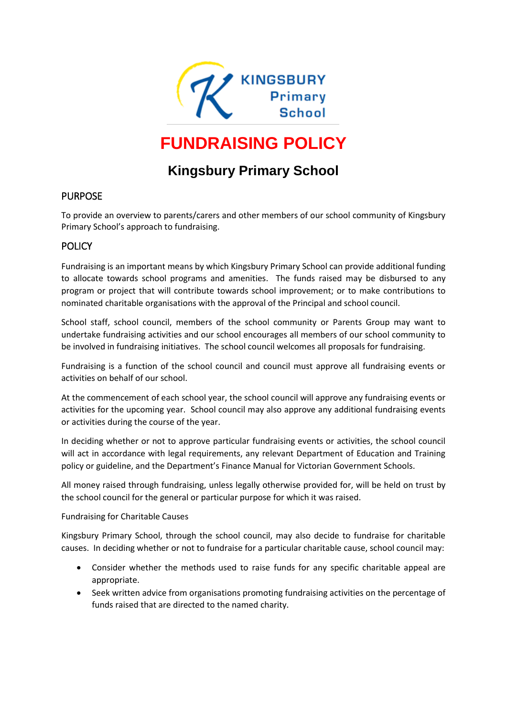

# **FUNDRAISING POLICY**

# **Kingsbury Primary School**

#### PURPOSE

To provide an overview to parents/carers and other members of our school community of Kingsbury Primary School's approach to fundraising.

#### **POLICY**

Fundraising is an important means by which Kingsbury Primary School can provide additional funding to allocate towards school programs and amenities. The funds raised may be disbursed to any program or project that will contribute towards school improvement; or to make contributions to nominated charitable organisations with the approval of the Principal and school council.

School staff, school council, members of the school community or Parents Group may want to undertake fundraising activities and our school encourages all members of our school community to be involved in fundraising initiatives. The school council welcomes all proposals for fundraising.

Fundraising is a function of the school council and council must approve all fundraising events or activities on behalf of our school.

At the commencement of each school year, the school council will approve any fundraising events or activities for the upcoming year. School council may also approve any additional fundraising events or activities during the course of the year.

In deciding whether or not to approve particular fundraising events or activities, the school council will act in accordance with legal requirements, any relevant Department of Education and Training policy or guideline, and the Department's Finance Manual for Victorian Government Schools.

All money raised through fundraising, unless legally otherwise provided for, will be held on trust by the school council for the general or particular purpose for which it was raised.

Fundraising for Charitable Causes

Kingsbury Primary School, through the school council, may also decide to fundraise for charitable causes. In deciding whether or not to fundraise for a particular charitable cause, school council may:

- Consider whether the methods used to raise funds for any specific charitable appeal are appropriate.
- Seek written advice from organisations promoting fundraising activities on the percentage of funds raised that are directed to the named charity.